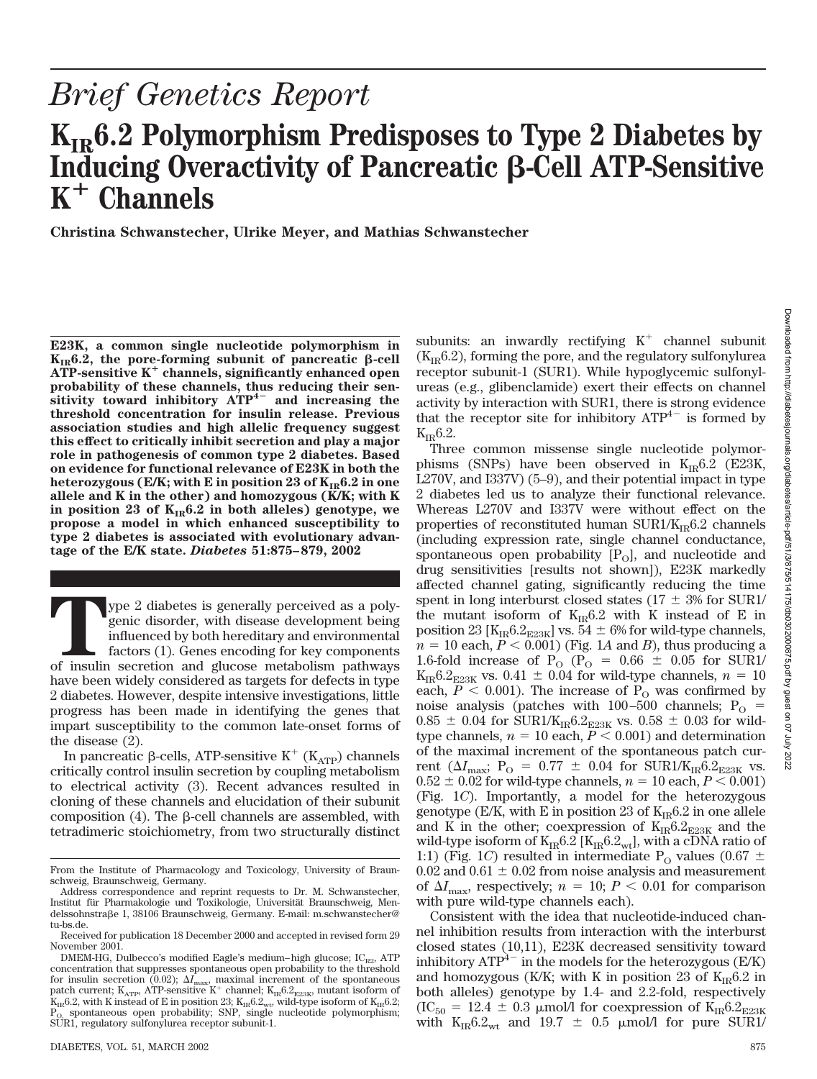# *Brief Genetics Report*

# K<sub>IR</sub>6.2 Polymorphism Predisposes to Type 2 Diabetes by Inducing Overactivity of Pancreatic β-Cell ATP-Sensitive **K**- **Channels**

**Christina Schwanstecher, Ulrike Meyer, and Mathias Schwanstecher**

**E23K, a common single nucleotide polymorphism in**  $K_{IR}$ 6.2, the pore-forming subunit of pancreatic  $\beta$ -cell **ATP-sensitive K**- **channels, significantly enhanced open probability of these channels, thus reducing their sensitivity toward inhibitory ATP4 and increasing the threshold concentration for insulin release. Previous association studies and high allelic frequency suggest this effect to critically inhibit secretion and play a major role in pathogenesis of common type 2 diabetes. Based on evidence for functional relevance of E23K in both the** heterozygous ( $E/K$ ; with E in position 23 of  $K_{IR}6.2$  in one **allele and K in the other) and homozygous (K/K; with K** in position 23 of  $K_{IR}6.2$  in both alleles) genotype, we **propose a model in which enhanced susceptibility to type 2 diabetes is associated with evolutionary advantage of the E/K state.** *Diabetes* **51:875–879, 2002**

Type 2 diabetes is generally perceived as a polygenic disorder, with disease development being influenced by both hereditary and environmental factors (1). Genes encoding for key components of insulin secretion and glucose genic disorder, with disease development being influenced by both hereditary and environmental factors (1). Genes encoding for key components have been widely considered as targets for defects in type 2 diabetes. However, despite intensive investigations, little progress has been made in identifying the genes that impart susceptibility to the common late-onset forms of the disease (2).

In pancreatic  $\beta$ -cells, ATP-sensitive K<sup>+</sup> (K<sub>ATP</sub>) channels critically control insulin secretion by coupling metabolism to electrical activity (3). Recent advances resulted in cloning of these channels and elucidation of their subunit composition  $(4)$ . The  $\beta$ -cell channels are assembled, with tetradimeric stoichiometry, from two structurally distinct

subunits: an inwardly rectifying  $K^+$  channel subunit  $(K_{IR}6.2)$ , forming the pore, and the regulatory sulfonylurea receptor subunit-1 (SUR1). While hypoglycemic sulfonylureas (e.g., glibenclamide) exert their effects on channel activity by interaction with SUR1, there is strong evidence that the receptor site for inhibitory  $ATP^{4-}$  is formed by  $K_{IR}$ 6.2.

Three common missense single nucleotide polymorphisms (SNPs) have been observed in  $K_{IR}6.2$  (E23K, L270V, and I337V) (5–9), and their potential impact in type 2 diabetes led us to analyze their functional relevance. Whereas L270V and I337V were without effect on the properties of reconstituted human  $\text{SUR1}/\text{K}_{\text{IR}}6.2$  channels (including expression rate, single channel conductance, spontaneous open probability  $[P_0]$ , and nucleotide and drug sensitivities [results not shown]), E23K markedly affected channel gating, significantly reducing the time spent in long interburst closed states ( $17 \pm 3\%$  for SUR1/ the mutant isoform of  $K_{IR}6.2$  with K instead of E in position 23 [ $K_{IR}$ 6.2<sub>E23K</sub>] vs. 54  $\pm$  6% for wild-type channels,  $n = 10$  each,  $P < 0.001$ ) (Fig. 1*A* and *B*), thus producing a 1.6-fold increase of  $P_{\text{O}}$  ( $P_{\text{O}} = 0.66 \pm 0.05$  for SUR1/  $K_{IR}$ 6.2<sub>E23K</sub> vs. 0.41  $\pm$  0.04 for wild-type channels,  $n = 10$ each,  $P < 0.001$ ). The increase of P<sub>O</sub> was confirmed by noise analysis (patches with  $100-500$  channels;  $P_{\Omega}$  =  $0.85 \pm 0.04$  for SUR1/K<sub>IR</sub>6.2<sub>E23K</sub> vs.  $0.58 \pm 0.03$  for wildtype channels,  $n = 10$  each,  $P \le 0.001$ ) and determination of the maximal increment of the spontaneous patch current ( $\Delta I_{\text{max}}$ ; P<sub>O</sub> = 0.77  $\pm$  0.04 for SUR1/K<sub>IR</sub>6.2<sub>E23K</sub> vs.  $0.52 \pm 0.02$  for wild-type channels,  $n = 10$  each,  $P < 0.001$ ) (Fig. 1*C*). Importantly, a model for the heterozygous genotype (E/K, with E in position 23 of  $K_{IR}6.2$  in one allele and K in the other; coexpression of  $\rm\,K_{IR}6.2_{E23K}$  and the wild-type isoform of  $K_{IR}6.2~[K_{IR}6.2_{wt}]$ , with a cDNA ratio of 1:1) (Fig. 1*C*) resulted in intermediate  $P_0$  values (0.67  $\pm$ 0.02 and 0.61  $\pm$  0.02 from noise analysis and measurement of  $\Delta I_{\text{max}}$ , respectively;  $n = 10$ ;  $P < 0.01$  for comparison with pure wild-type channels each).

Consistent with the idea that nucleotide-induced channel inhibition results from interaction with the interburst closed states (10,11), E23K decreased sensitivity toward inhibitory  $ATP^{4-}$  in the models for the heterozygous (E/K) and homozygous (K/K; with K in position 23 of  $K_{IR}6.2$  in both alleles) genotype by 1.4- and 2.2-fold, respectively  $(IC<sub>50</sub> = 12.4 \pm 0.3 \mu mol/1$  for coexpression of  $K_{IR}6.2<sub>E23K</sub>$ with  $K_{IR}6.2_{wt}$  and 19.7  $\pm$  0.5 µmol/l for pure SUR1/

From the Institute of Pharmacology and Toxicology, University of Braunschweig, Braunschweig, Germany.

Address correspondence and reprint requests to Dr. M. Schwanstecher, Institut für Pharmakologie und Toxikologie, Universität Braunschweig, Mendelssohnstraße 1, 38106 Braunschweig, Germany. E-mail: m.schwanstecher@ tu-bs.de.

Received for publication 18 December 2000 and accepted in revised form 29 November 2001.

 $DMEM-HG$ , Dulbecco's modified Eagle's medium–high glucose;  $IC_{R2}$ , ATP concentration that suppresses spontaneous open probability to the threshold for insulin secretion (0.02);  $\Delta I_{\rm max}$ , maximal increment of the spontaneous patch current;  $K_{\rm ATP}$ , ATP-sensitive K<sup>+</sup> channel;  $K_{\rm IR}$ 6.2<sub>E23K</sub>, mutant isoform of  $K_{IR}$ 6.2, with K instead of E in position 23;  $K_{IR}$ 6.2<sub>wt</sub>, wild-type isoform of  $K_{IR}$ 6.2; spontaneous open probability; SNP, single nucleotide polymorphism; SUR1, regulatory sulfonylurea receptor subunit-1.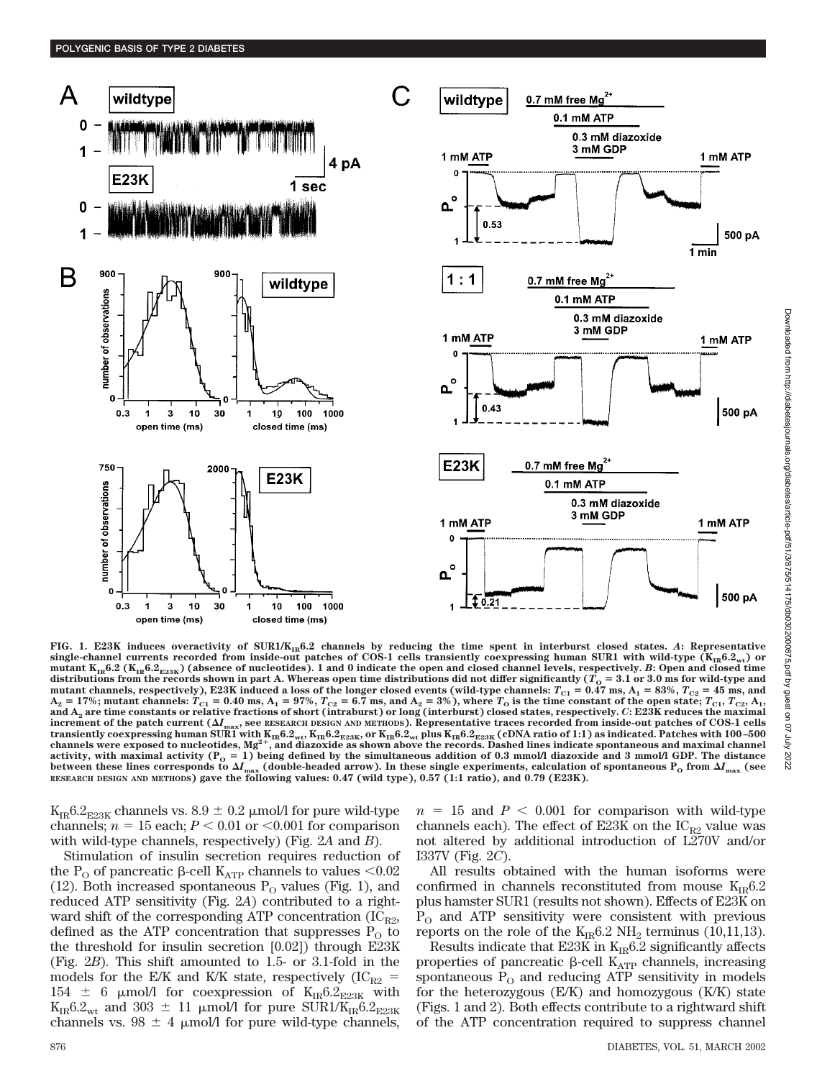

FIG. 1. E23K induces overactivity of SUR1/K<sub>IR</sub>6.2 channels by reducing the time spent in interburst closed states. A: Representative single-channel currents recorded from inside-out patches of COS-1 cells transiently coexpressing human SUR1 with wild-type  $(K_{IR}6.2<sub>wt</sub>)$  or **mutant KIR6.2 (KIR6.2E23K) (absence of nucleotides). 1 and 0 indicate the open and closed channel levels, respectively.** *B***: Open and closed time** distributions from the records shown in part A. Whereas open time distributions did not differ significantly ( $T<sub>o</sub> = 3.1$  or 3.0 ms for wild-type and mutant channels, respectively), E23K induced a loss of the longer closed events (wild-type channels:  $T_{C1} = 0.47$  ms,  $A_1 = 83\%$ ,  $T_{C2} = 45$  ms, and  $A_2 = 17\%$ ; mutant channels:  $T_{C1} = 0.40$  ms,  $A_1 = 97\%$ ,  $T_{C2} = 6.7$  ms, and  $A_2 = 3\%$  ), where  $T_O$  is the time constant of the open state;  $T_{C1}$ ,  $T_{C2}$ ,  $A_1$ , **and A2 are time constants or relative fractions of short (intraburst) or long (interburst) closed states, respectively.** *C***: E23K reduces the maximal** increment of the patch current  $(\Delta I_{\text{max}})$ , see RESEARCH DESIGN AND METHODS). Representative traces recorded from inside-out patches of COS-1 cells transiently coexpressing human SUR1 with  $K_{IR}6.2_{wt}$ ,  $K_{IR}6.2_{E23K}$ , or  $K_{IR}6.2_{wt}$  plus  $K_{IR}6.2_{E23K}$  (cDNA ratio of 1:1) as indicated. Patches with 100–500 channels were exposed to nucleotides,  $Mg^{2+}$ , and diazo activity, with maximal activity ( $P_0 = 1$ ) being defined by the simultaneous addition of 0.3 mmol/l diazoxide and 3 mmol/l GDP. The distance between these lines corresponds to  $\Delta I_{\rm max}$  (double-headed arrow). In these single experiments, calculation of spontaneous P<sub>o</sub> from  $\Delta I_{\rm max}$  (see<br>RESEARCH DESIGN AND METHODS) gave the following values: 0.47 (wild typ

 $K_{IR}6.2_{E23K}$  channels vs.  $8.9 \pm 0.2$  µmol/l for pure wild-type channels;  $n = 15$  each;  $P < 0.01$  or  $< 0.001$  for comparison with wild-type channels, respectively) (Fig. 2*A* and *B*).

Stimulation of insulin secretion requires reduction of the P<sub>O</sub> of pancreatic  $\beta$ -cell K<sub>ATP</sub> channels to values <0.02 (12). Both increased spontaneous  $P_{\Omega}$  values (Fig. 1), and reduced ATP sensitivity (Fig. 2*A*) contributed to a rightward shift of the corresponding ATP concentration  $(IC_{R2},$ defined as the ATP concentration that suppresses  $P_{\Omega}$  to the threshold for insulin secretion [0.02]) through E23K (Fig. 2*B*). This shift amounted to 1.5- or 3.1-fold in the models for the E/K and K/K state, respectively (IC<sub>R2</sub> = 154  $\pm$  6 µmol/l for coexpression of K<sub>IR</sub>6.2<sub>E23K</sub> with  $K_{IR}6.2_{wt}$  and 303  $\pm$  11 µmol/l for pure SUR1/K<sub>IR</sub>6.2<sub>E23K</sub> channels vs.  $98 \pm 4$  µmol/l for pure wild-type channels,

 $n = 15$  and  $P < 0.001$  for comparison with wild-type channels each). The effect of E23K on the  $IC_{R2}$  value was not altered by additional introduction of L270V and/or I337V (Fig. 2*C*).

All results obtained with the human isoforms were confirmed in channels reconstituted from mouse  $K_{IR}6.2$ plus hamster SUR1 (results not shown). Effects of E23K on  $P_{\rm O}$  and ATP sensitivity were consistent with previous reports on the role of the  $K_{IR}6.2 \text{ NH}_2$  terminus (10,11,13).

Results indicate that E23K in  $K_{IR}6.2$  significantly affects properties of pancreatic  $\beta$ -cell  $K_{ATP}$  channels, increasing spontaneous  $\hat{P}_{O}$  and reducing ATP sensitivity in models for the heterozygous (E/K) and homozygous (K/K) state (Figs. 1 and 2). Both effects contribute to a rightward shift of the ATP concentration required to suppress channel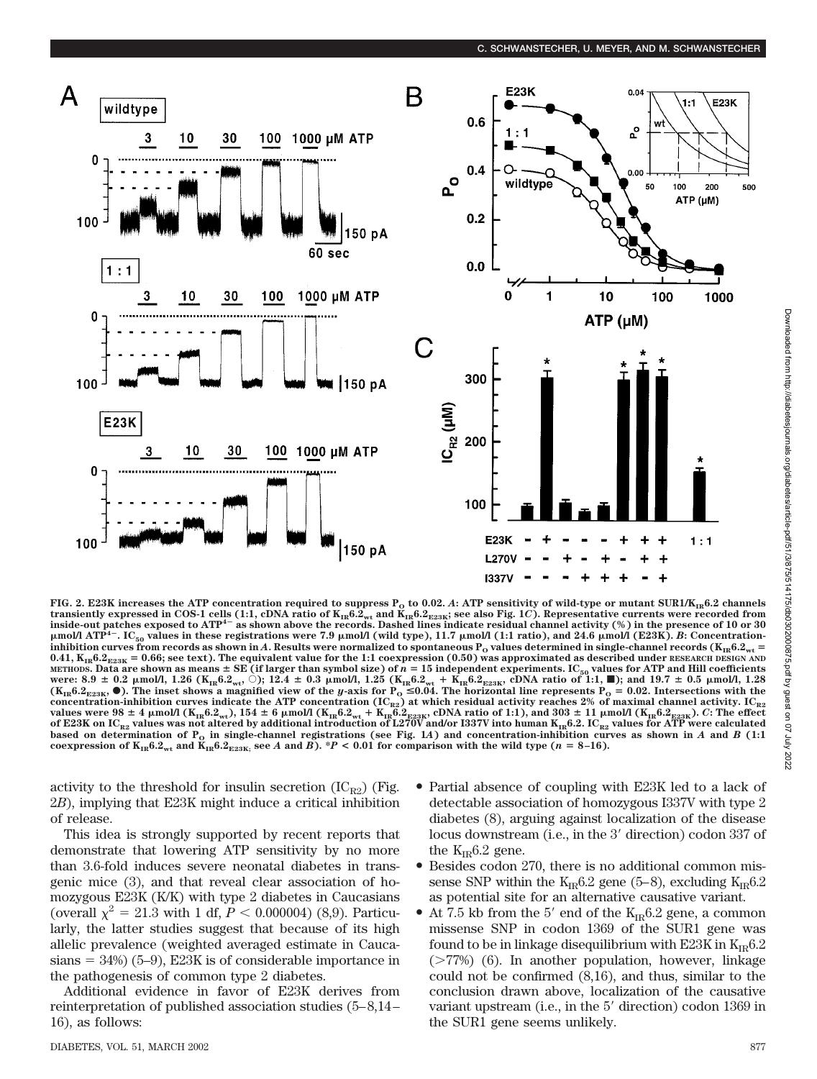

**FIG. 2. E23K** increases the ATP concentration required to suppress  $P_{\rm o}$  to 0.02.  $A$ : ATP sensitivity of wild-type or mutant SUR1/K<sub>IR</sub>6.2 channels transiently expressed in COS-1 cells (1:1, cDNA ratio of K<sub>IR</sub>6.2<sub>wt</sub> and K<sub>IR</sub>6.2<sub>g23K</sub>; see also Fig. 1*C*). Representative currents were recorded from<br>inside-out patches exposed to ATP<sup>4–</sup> as shown above the records. D  $\mu$ mol/l ATP<sup>4-</sup>. IC<sub>50</sub> values in these registrations were 7.9  $\mu$ mol/l (wild type), 11.7  $\mu$ mol/l (1:1 ratio), and 24.6  $\mu$ mol/l (E23K). *B*: Concentration**inhibition curves from records as shown in A. Results were normalized to spontaneous**  $P_0$  **values determined in single-channel records (** $K_{IR}6.2<sub>wt</sub>$ **)**  $0.41, K_{IR}6.2_{E23K} = 0.66$ ; see text). The equivalent value for the 1:1 coexpression (0.50) was approximated as described under RESEARCH DESIGN AND мєтнорѕ. Data are shown as means ± SE (if larger than symbol size) of *n* = 15 independent experiments. IC<sub>50</sub> values for ATP and Hill coefficients<br>were: 8.9 ± 0.2 μmol/l, 1.26 (K<sub>IR</sub>6.2<sub>wt</sub>, ○); 12.4 ± 0.3 μmol/l, 1.25  $(K_{IR}6.2_{E23K}, \bullet)$ . The inset shows a magnified view of the *y*-axis for  $P_0 \le 0.04$ . The horizontal line represents  $P_0 \le 0.02$ . Intersections with the concentration-inhibition curves indicate the ATP concentration (IC<sub>R2</sub>) at which residual activity reaches 2% of maximal channel activity. IC<sub>R2</sub><br>values were 98 ± 4 μmol/l (K<sub>IR</sub>6.2<sub>wt</sub>), 154 ± 6 μmol/l (K<sub>IR</sub>6.2<sub>wt</sub> + K of E23K on IC<sub>R2</sub> values was not altered by additional introduction of L270V and/or I337V into human K<sub>IR</sub>6.2. IC<sub>R2</sub> values for ATP were calculated based on determination of  $P_o$  in single-channel registrations (see Fig. 1A) and concentration-inhibition curves as shown in *A* and *B* (1:1 coexpression of  $K_{IR}6.2_{wt}$  and  $K_{IR}6.2_{E23K}$ ; see *A* and *B*). \**P* < 0.01 for comparison with the wild type (*n* = 8–16).

activity to the threshold for insulin secretion  $(IC_{R2})$  (Fig. 2*B*), implying that E23K might induce a critical inhibition of release.

This idea is strongly supported by recent reports that demonstrate that lowering ATP sensitivity by no more than 3.6-fold induces severe neonatal diabetes in transgenic mice (3), and that reveal clear association of homozygous E23K (K/K) with type 2 diabetes in Caucasians (overall  $\chi^2 = 21.3$  with 1 df,  $P < 0.000004$ ) (8,9). Particularly, the latter studies suggest that because of its high allelic prevalence (weighted averaged estimate in Cauca $sians = 34\%)$  (5–9), E23K is of considerable importance in the pathogenesis of common type 2 diabetes.

Additional evidence in favor of E23K derives from reinterpretation of published association studies (5–8,14– 16), as follows:

- Partial absence of coupling with E23K led to a lack of detectable association of homozygous I337V with type 2 diabetes (8), arguing against localization of the disease locus downstream (i.e., in the 3' direction) codon 337 of the  $K_{IR}6.2$  gene.
- Besides codon 270, there is no additional common missense SNP within the  $K_{IR}6.2$  gene (5–8), excluding  $K_{IR}6.2$ as potential site for an alternative causative variant.
- At 7.5 kb from the 5' end of the  $K_{IR}6.2$  gene, a common missense SNP in codon 1369 of the SUR1 gene was found to be in linkage disequilibrium with E23K in  $K_{IR}6.2$  $($ >77%) (6). In another population, however, linkage could not be confirmed (8,16), and thus, similar to the conclusion drawn above, localization of the causative variant upstream (i.e., in the 5 direction) codon 1369 in the SUR1 gene seems unlikely.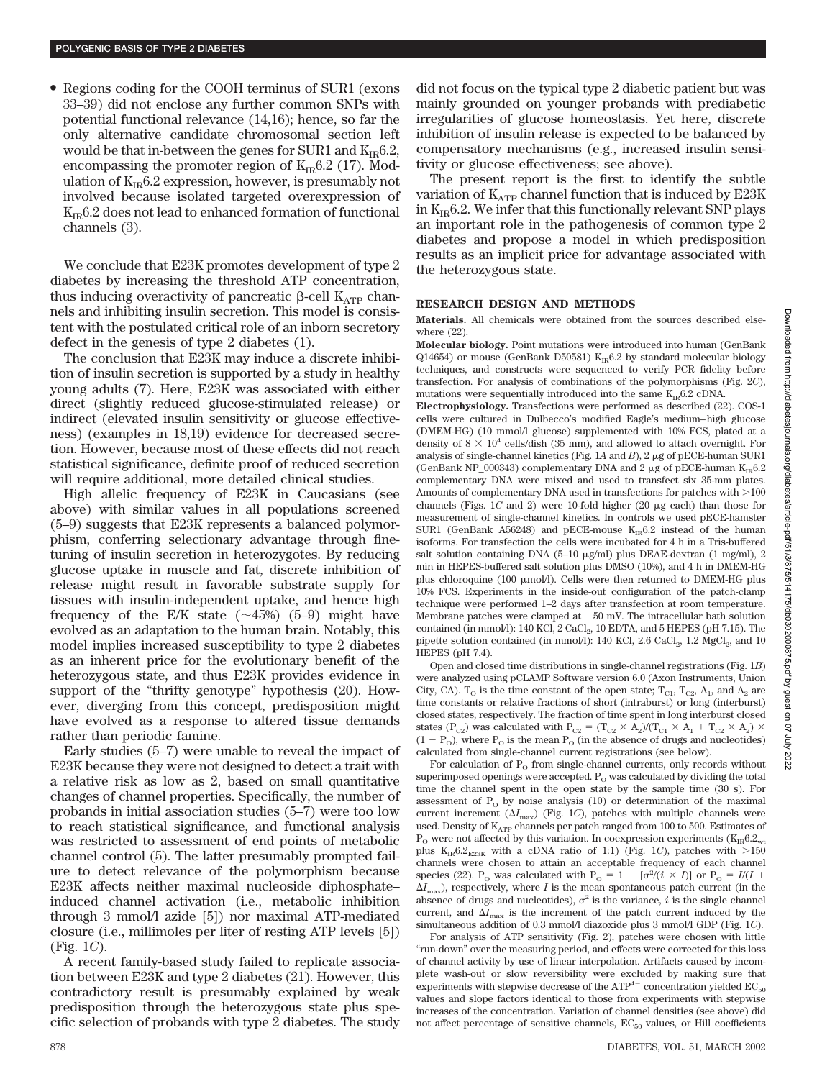• Regions coding for the COOH terminus of SUR1 (exons 33–39) did not enclose any further common SNPs with potential functional relevance (14,16); hence, so far the only alternative candidate chromosomal section left would be that in-between the genes for SUR1 and  $K_{IR}6.2$ , encompassing the promoter region of  $K_{IR}6.2$  (17). Modulation of  $K_{IR}6.2$  expression, however, is presumably not involved because isolated targeted overexpression of  $K_{IR}6.2$  does not lead to enhanced formation of functional channels (3).

We conclude that E23K promotes development of type 2 diabetes by increasing the threshold ATP concentration, thus inducing overactivity of pancreatic  $\beta$ -cell  $K_{ATP}$  channels and inhibiting insulin secretion. This model is consistent with the postulated critical role of an inborn secretory defect in the genesis of type 2 diabetes (1).

The conclusion that E23K may induce a discrete inhibition of insulin secretion is supported by a study in healthy young adults (7). Here, E23K was associated with either direct (slightly reduced glucose-stimulated release) or indirect (elevated insulin sensitivity or glucose effectiveness) (examples in 18,19) evidence for decreased secretion. However, because most of these effects did not reach statistical significance, definite proof of reduced secretion will require additional, more detailed clinical studies.

High allelic frequency of E23K in Caucasians (see above) with similar values in all populations screened (5–9) suggests that E23K represents a balanced polymorphism, conferring selectionary advantage through finetuning of insulin secretion in heterozygotes. By reducing glucose uptake in muscle and fat, discrete inhibition of release might result in favorable substrate supply for tissues with insulin-independent uptake, and hence high frequency of the E/K state  $(\sim 45\%)$  (5–9) might have evolved as an adaptation to the human brain. Notably, this model implies increased susceptibility to type 2 diabetes as an inherent price for the evolutionary benefit of the heterozygous state, and thus E23K provides evidence in support of the "thrifty genotype" hypothesis (20). However, diverging from this concept, predisposition might have evolved as a response to altered tissue demands rather than periodic famine.

Early studies (5–7) were unable to reveal the impact of E23K because they were not designed to detect a trait with a relative risk as low as 2, based on small quantitative changes of channel properties. Specifically, the number of probands in initial association studies (5–7) were too low to reach statistical significance, and functional analysis was restricted to assessment of end points of metabolic channel control (5). The latter presumably prompted failure to detect relevance of the polymorphism because E23K affects neither maximal nucleoside diphosphate– induced channel activation (i.e., metabolic inhibition through 3 mmol/l azide [5]) nor maximal ATP-mediated closure (i.e., millimoles per liter of resting ATP levels [5]) (Fig. 1*C*).

A recent family-based study failed to replicate association between E23K and type 2 diabetes (21). However, this contradictory result is presumably explained by weak predisposition through the heterozygous state plus specific selection of probands with type 2 diabetes. The study did not focus on the typical type 2 diabetic patient but was mainly grounded on younger probands with prediabetic irregularities of glucose homeostasis. Yet here, discrete inhibition of insulin release is expected to be balanced by compensatory mechanisms (e.g., increased insulin sensitivity or glucose effectiveness; see above).

The present report is the first to identify the subtle variation of  $K_{ATP}$  channel function that is induced by E23K in  $K_{IR}$ 6.2. We infer that this functionally relevant SNP plays an important role in the pathogenesis of common type 2 diabetes and propose a model in which predisposition results as an implicit price for advantage associated with the heterozygous state.

#### **RESEARCH DESIGN AND METHODS**

**Materials.** All chemicals were obtained from the sources described elsewhere (22).

**Molecular biology.** Point mutations were introduced into human (GenBank Q14654) or mouse (GenBank D50581)  $K_{IR}$ 6.2 by standard molecular biology techniques, and constructs were sequenced to verify PCR fidelity before transfection. For analysis of combinations of the polymorphisms (Fig. 2*C*), mutations were sequentially introduced into the same  $K_{IR}6.2 \text{ cDNA.}$ 

**Electrophysiology.** Transfections were performed as described (22). COS-1 cells were cultured in Dulbecco's modified Eagle's medium–high glucose (DMEM-HG) (10 mmol/l glucose) supplemented with 10% FCS, plated at a density of 8  $\times$   $10^4$  cells/dish (35 mm), and allowed to attach overnight. For analysis of single-channel kinetics (Fig. 1A and  $B$ ), 2  $\mu$ g of pECE-human SUR1 (GenBank NP\_000343) complementary DNA and 2  $\mu$ g of pECE-human K<sub>IR</sub>6.2 complementary DNA were mixed and used to transfect six 35-mm plates. Amounts of complementary DNA used in transfections for patches with  $>100$ channels (Figs.  $1C$  and  $2$ ) were 10-fold higher ( $20 \mu$ g each) than those for measurement of single-channel kinetics. In controls we used pECE-hamster SUR1 (GenBank A56248) and pECE-mouse  $K_{IR}$ 6.2 instead of the human isoforms. For transfection the cells were incubated for 4 h in a Tris-buffered salt solution containing DNA (5–10  $\mu$ g/ml) plus DEAE-dextran (1 mg/ml), 2 min in HEPES-buffered salt solution plus DMSO (10%), and 4 h in DMEM-HG plus chloroquine (100  $\mu$ mol/l). Cells were then returned to DMEM-HG plus 10% FCS. Experiments in the inside-out configuration of the patch-clamp technique were performed 1–2 days after transfection at room temperature. Membrane patches were clamped at  $-50$  mV. The intracellular bath solution contained (in mmol/l): 140 KCl,  $2$  CaCl<sub>2</sub>, 10 EDTA, and  $5$  HEPES (pH 7.15). The pipette solution contained (in mmol/l): 140 KCl, 2.6 CaCl<sub>2</sub>, 1.2 MgCl<sub>2</sub>, and 10 HEPES (pH 7.4).

Open and closed time distributions in single-channel registrations (Fig. 1*B*) were analyzed using pCLAMP Software version 6.0 (Axon Instruments, Union City, CA).  $T_{\rm O}$  is the time constant of the open state;  $T_{\rm C1}$ ,  $T_{\rm C2}$ ,  $A_{\rm 1}$ , and  $A_{\rm 2}$  are time constants or relative fractions of short (intraburst) or long (interburst) closed states, respectively. The fraction of time spent in long interburst closed states (P<sub>C2</sub>) was calculated with P<sub>C2</sub> = (T<sub>C2</sub> × A<sub>2</sub>)/(T<sub>C1</sub> × A<sub>1</sub> + T<sub>C2</sub> × A<sub>2</sub>) ×  $(1 - P<sub>O</sub>)$ , where  $P<sub>O</sub>$  is the mean  $P<sub>O</sub>$  (in the absence of drugs and nucleotides) calculated from single-channel current registrations (see below).

For calculation of  $P_{O}$  from single-channel currents, only records without superimposed openings were accepted.  $P<sub>O</sub>$  was calculated by dividing the total time the channel spent in the open state by the sample time (30 s). For assessment of  $P_0$  by noise analysis (10) or determination of the maximal current increment  $(\Delta I_{\text{max}})$  (Fig. 1*C*), patches with multiple channels were used. Density of  $K_{ATP}$  channels per patch ranged from 100 to 500. Estimates of  $P_{\Omega}$  were not affected by this variation. In coexpression experiments (K<sub>IR</sub>6.2<sub>wt</sub> plus  $K_{IR}6.2_{E23K}$  with a cDNA ratio of 1:1) (Fig. 1C), patches with  $>150$ channels were chosen to attain an acceptable frequency of each channel species (22). P<sub>o</sub> was calculated with P<sub>o</sub> = 1 –  $\left[\sigma^2/(i \times I)\right]$  or P<sub>o</sub> =  $I/(I +$  $\Delta I_{\text{max}}$ ), respectively, where *I* is the mean spontaneous patch current (in the absence of drugs and nucleotides),  $\sigma^2$  is the variance, *i* is the single channel current, and  $\Delta I_{\text{max}}$  is the increment of the patch current induced by the simultaneous addition of 0.3 mmol/l diazoxide plus 3 mmol/l GDP (Fig. 1*C*).

For analysis of ATP sensitivity (Fig. 2), patches were chosen with little "run-down" over the measuring period, and effects were corrected for this loss of channel activity by use of linear interpolation. Artifacts caused by incomplete wash-out or slow reversibility were excluded by making sure that experiments with stepwise decrease of the  $ATP^{4-}$  concentration yielded  $EC_{50}$ values and slope factors identical to those from experiments with stepwise increases of the concentration. Variation of channel densities (see above) did not affect percentage of sensitive channels,  $EC_{50}$  values, or Hill coefficients